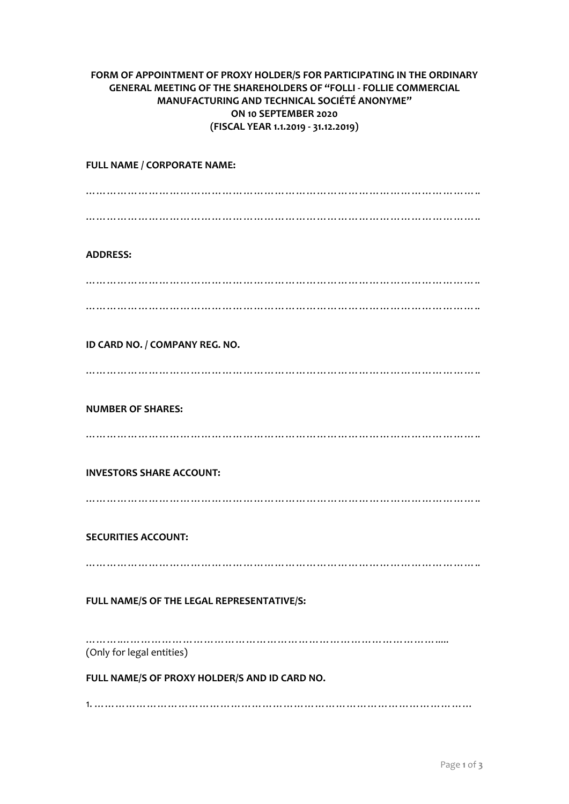## **FORM OF APPOINTMENT OF PROXY HOLDER/S FOR PARTICIPATING IN THE ORDINARY GENERAL MEETING OF THE SHAREHOLDERS OF "FOLLI - FOLLIE COMMERCIAL MANUFACTURING AND TECHNICAL SOCIÉTÉ ANONYME" ON 10 SEPTEMBER 2020 (FISCAL YEAR 1.1.2019 - 31.12.2019)**

## **FULL NAME / CORPORATE NAME:** ………………………………………………………………………………………………….. ………………………………………………………………………………………………….. **ADDRESS:** ………………………………………………………………………………………………….. ………………………………………………………………………………………………….. **ID CARD NO. / COMPANY REG. NO.** ………………………………………………………………………………………………….. **NUMBER OF SHARES:** ………………………………………………………………………………………………….. **INVESTORS SHARE ACCOUNT:** ………………………………………………………………………………………………….. **SECURITIES ACCOUNT:** ………………………………………………………………………………………………….. **FULL NAME/S OF THE LEGAL REPRESENTATIVE/S:** …………………………………………………………………………………………… (Only for legal entities) **FULL NAME/S OF PROXY HOLDER/S AND ID CARD NO.** 1. ………………………………………………………………………………………………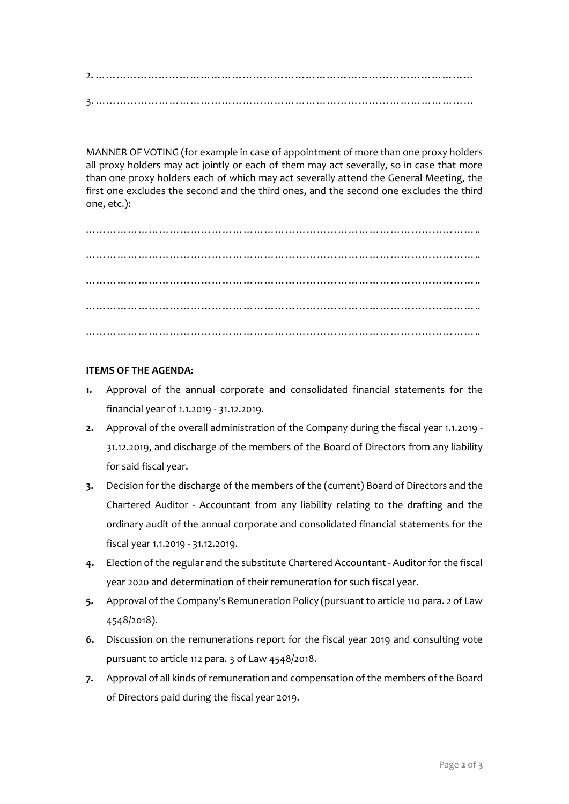2. ……………………………………………………………………………………………… 3. ………………………………………………………………………………………………

MANNER OF VOTING (for example in case of appointment of more than one proxy holders all proxy holders may act jointly or each of them may act severally, so in case that more than one proxy holders each of which may act severally attend the General Meeting, the first one excludes the second and the third ones, and the second one excludes the third one, etc.):

………………………………………………………………………………………………….. ………………………………………………………………………………………………….. ………………………………………………………………………………………………….. ………………………………………………………………………………………………….. …………………………………………………………………………………………………..

## **ITEMS OF THE AGENDA:**

- **1.** Approval of the annual corporate and consolidated financial statements for the financial year of 1.1.2019 - 31.12.2019.
- **2.** Approval of the overall administration of the Company during the fiscal year 1.1.2019 31.12.2019, and discharge of the members of the Board of Directors from any liability for said fiscal year.
- **3.** Decision for the discharge of the members of the (current) Board of Directors and the Chartered Auditor - Accountant from any liability relating to the drafting and the ordinary audit of the annual corporate and consolidated financial statements for the fiscal year 1.1.2019 - 31.12.2019.
- **4.** Election of the regular and the substitute Chartered Accountant Auditor for the fiscal year 2020 and determination of their remuneration for such fiscal year.
- **5.** Approval of the Company's Remuneration Policy (pursuant to article 110 para. 2 of Law 4548/2018).
- **6.** Discussion on the remunerations report for the fiscal year 2019 and consulting vote pursuant to article 112 para. 3 of Law 4548/2018.
- **7.** Approval of all kinds of remuneration and compensation of the members of the Board of Directors paid during the fiscal year 2019.